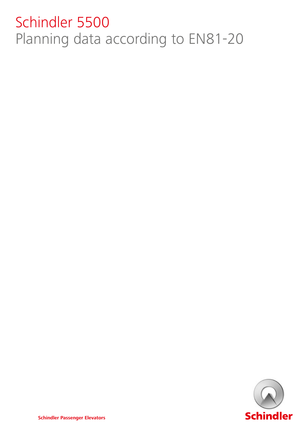# Schindler 5500 Planning data according to EN81-20

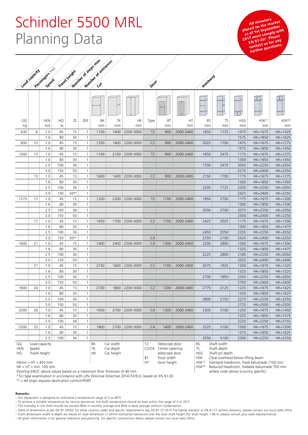### Schindler 5500 MRL Planning Data

All elevators<br>
placed on the market<br>
placed on the market<br> **placed on the market as of 1st September 2017 must comply with EN 81-20\*. Please EN 81-20** for any<br>contact us for any **further questions.** 

HSK<sup>(2)</sup> Reduced headroom, foldable balustrade 700 mm where code allows (country specific)

|                        | Munice of Scop's max<br>Passages (2011-2011 |            |     |               |                                                        | Munice of entrances |      |                                 |                                                             |      |                                                                                                                      |                                                                                       |      |            |                    |                    |
|------------------------|---------------------------------------------|------------|-----|---------------|--------------------------------------------------------|---------------------|------|---------------------------------|-------------------------------------------------------------|------|----------------------------------------------------------------------------------------------------------------------|---------------------------------------------------------------------------------------|------|------------|--------------------|--------------------|
|                        |                                             |            |     |               |                                                        |                     |      |                                 |                                                             |      |                                                                                                                      |                                                                                       |      |            |                    |                    |
|                        | Load capacity                               |            |     | Travel height |                                                        |                     |      |                                 | Door                                                        |      |                                                                                                                      | Hoistalay                                                                             |      |            |                    |                    |
|                        |                                             |            |     |               |                                                        |                     |      |                                 |                                                             |      |                                                                                                                      |                                                                                       |      |            |                    |                    |
|                        |                                             |            |     |               |                                                        |                     |      |                                 |                                                             |      |                                                                                                                      |                                                                                       |      |            |                    |                    |
| GQ                     |                                             | <b>VKN</b> | HQ  | ΖE            | ZKE                                                    | BK                  | TK   | HK                              | Type                                                        | BT   | HT                                                                                                                   | BS                                                                                    | TS   | <b>HSG</b> | HSK <sup>(1)</sup> | HSK <sup>(2)</sup> |
| kg                     |                                             | m/s        | m   |               |                                                        | mm                  | mm   | mm                              |                                                             | mm   | mm                                                                                                                   | mm                                                                                    | mm   | mm         | mm                 | mm                 |
| 630                    | 8                                           | 1.0        | 45  | 15            | $\mathbf{1}$                                           | 1100                | 1400 | 2200-3000                       | T <sub>2</sub>                                              | 900  | 2000-2400                                                                                                            | 1650                                                                                  | 1775 | 1475       | HK+1675            | HK+1425            |
|                        |                                             | 1.6        | 80  | 30            | $\mathbf{1}$                                           |                     |      |                                 |                                                             |      |                                                                                                                      |                                                                                       |      | 1575       | HK+1850            | HK+1625            |
| 800                    | 10                                          | 1.0        | 45  | 15            | $\mathbf{1}$                                           | 1350                | 1400 | 2200-3000                       | C <sub>2</sub>                                              | 900  | 2000-2400                                                                                                            | 2025                                                                                  | 1700 | 1475       | HK+1675            | HK+1275            |
|                        |                                             | 1.6        | 80  | 30            | $\mathbf{1}$                                           |                     |      |                                 |                                                             |      |                                                                                                                      |                                                                                       |      | 1575       | HK+1850            | HK+1450            |
| 1000                   | 13                                          | 1.0        | 45  | 15            | $\mathbf{1}$                                           | 1100                | 2100 | 2200-3000                       | T <sub>2</sub>                                              | 900  | 2000-2400                                                                                                            | 1650                                                                                  | 2475 | 1175       | HK+1675            | HK+1275            |
|                        |                                             | 1.6        | 80  | 30            | $\mathbf{1}$                                           |                     |      |                                 |                                                             |      |                                                                                                                      |                                                                                       |      | 1300       | HK+1850            | HK+1450            |
|                        |                                             | 2.5        | 100 | 36            | $\mathbf{1}$                                           |                     |      |                                 |                                                             |      |                                                                                                                      | 1700                                                                                  | 2475 | 2050       | HK+2250            | HK+2050            |
|                        |                                             | 3.0        | 150 | 50            | $\mathbf{1}$                                           |                     |      |                                 |                                                             |      |                                                                                                                      |                                                                                       |      | 2275       | HK+2400            | HK+2250            |
|                        | 13                                          | 1.0        | 45  | 15            | $\mathbf{1}$                                           | 1600                | 1400 | 2200-3000                       | C <sub>2</sub>                                              | 900  | 2000-2400                                                                                                            | 2150                                                                                  | 1700 | 1175       | HK+1675            | HK+1275            |
|                        |                                             | 1.6        | 80  | 30            | $\mathbf{1}$                                           |                     |      |                                 |                                                             |      |                                                                                                                      |                                                                                       |      | 1300       | HK+1850            | HK+1450            |
|                        |                                             | 2.5        | 100 | 36            | $\mathbf{1}$                                           |                     |      |                                 |                                                             |      |                                                                                                                      | 2200                                                                                  | 1725 | 2200       | HK+2250            | HK+2050            |
|                        |                                             | 3.0        | 150 | 50**          | $\mathbf{1}$                                           |                     |      |                                 |                                                             |      |                                                                                                                      |                                                                                       |      | 2425       | HK+2400            | HK+2250            |
| 1275                   | 17                                          | 1.0        | 45  | 15            | $\mathbf{1}$                                           | 1200                | 2300 | 2200-3000                       | T <sub>2</sub>                                              | 1100 | 2000-2400                                                                                                            | 1950                                                                                  | 2700 | 1175       | HK+1675            | HK+1300            |
|                        |                                             | 1.6        | 80  | 30            | $\mathbf{1}$                                           |                     |      |                                 |                                                             |      |                                                                                                                      |                                                                                       |      | 1300       | HK+1850            | HK+1500            |
|                        |                                             | 2.5        | 100 | 36            | $\mathbf{1}$                                           |                     |      |                                 |                                                             |      |                                                                                                                      | 2000                                                                                  | 2700 | 2075       | HK+2250            | HK+2050            |
|                        |                                             | 3.0        | 150 | 50            | $\mathbf{1}$                                           |                     |      |                                 |                                                             |      |                                                                                                                      |                                                                                       |      | 2300       | HK+2400            | HK+2250            |
|                        | 17                                          | 1.0        | 45  | 15            | $\mathbf{1}$                                           | 1650                | 1700 | 2200-3000                       | C <sub>2</sub>                                              | 1100 | 2000-2400                                                                                                            | 2425                                                                                  | 2025 | 1175       | HK+1675            | HK+1300            |
|                        |                                             | 1.6        | 80  | 30            | $\mathbf{1}$                                           |                     |      |                                 |                                                             |      |                                                                                                                      |                                                                                       |      | 1300       | HK+1850            | HK+1475            |
|                        |                                             | 2.5        | 100 | 36            | $\mathbf{1}$                                           |                     |      |                                 |                                                             |      |                                                                                                                      | 2450                                                                                  | 2050 | 2255       | HK+2250            | HK+2050            |
|                        |                                             | 3.0        | 150 | 50**          | $\mathbf{1}$                                           |                     |      |                                 | C4                                                          |      |                                                                                                                      | 2250                                                                                  | 2100 | 2425       | HK+2400            | HK+2250            |
| 1600                   | 21                                          | 1.0        | 45  | 15            | $\mathbf{1}$                                           | 1400                | 2400 | 2200-3000                       | C4                                                          | 1300 | 2000-2400                                                                                                            | 2200                                                                                  | 2800 | 1200       | HK+1675            | HK+1300            |
|                        |                                             | 1.6        | 80  | 30            | $\mathbf{1}$                                           |                     |      |                                 |                                                             |      |                                                                                                                      |                                                                                       |      | 1325       | HK+1850            | HK+1475            |
|                        |                                             | 2.5        | 100 | 36            | $\mathbf{1}$                                           |                     |      |                                 |                                                             |      |                                                                                                                      | 2225                                                                                  | 2800 | 2185       | HK+2250            | HK+2050            |
|                        |                                             | 3.0        | 150 | 50            | $\mathbf{1}$                                           |                     |      |                                 |                                                             |      |                                                                                                                      |                                                                                       |      | 2525       | HK+2400            | HK+2400            |
|                        | 21                                          | 1.0        | 45  | 15            | $\mathbf{1}$                                           | 2100                | 1600 | 2200-3000                       | C <sub>2</sub>                                              | 1100 | 2000-2400                                                                                                            | 2675                                                                                  | 1925 | 1200       | HK+1675            | HK+1325            |
|                        |                                             | 1.6        | 80  | 30            | $\mathbf{1}$                                           |                     |      |                                 |                                                             |      |                                                                                                                      |                                                                                       |      | 1325       | HK+1850            | HK+1525            |
|                        |                                             | 2.5        | 100 | 36            | $\mathbf{1}$                                           |                     |      |                                 |                                                             |      |                                                                                                                      | 2700                                                                                  | 1950 | 2250       | HK+2250            | HK+2050            |
|                        |                                             | 3.0        | 150 | 50            | $\mathbf{1}$                                           |                     |      |                                 |                                                             |      |                                                                                                                      |                                                                                       |      | 2700       | HK+2400            | HK+2400            |
| 1800                   | 24                                          | 1.0        | 45  | 15            | $\mathbf{1}$                                           | 2100                | 1800 | 2200-3000                       | C <sub>2</sub>                                              | 1200 | 2000-2400                                                                                                            | 2775                                                                                  | 2125 | 1225       | HK+1675            | HK+1425            |
|                        |                                             | 1.6        | 80  | 30            | $\mathbf{1}$                                           |                     |      |                                 |                                                             |      |                                                                                                                      |                                                                                       |      | 1350       | HK+1850            | HK+1625            |
|                        |                                             | 2.5        | 100 | 36            | $\mathbf{1}$                                           |                     |      |                                 |                                                             |      |                                                                                                                      | 2800                                                                                  | 2150 | 2275       | HK+2250            | HK+2250            |
|                        |                                             | 3.0        | 150 | 50            | $\mathbf{1}$                                           |                     |      |                                 |                                                             |      |                                                                                                                      |                                                                                       |      | 2725       | HK+2500            | HK+2500            |
| 2000                   | 26                                          | $1.0$      | 45  | 15            | $\mathbf{1}$                                           | 1500                | 2700 | 2200-3000                       | C4                                                          | 1300 | 2000-2400                                                                                                            | 2300                                                                                  | 3100 | 1250       | HK+1675            | HK+1450            |
|                        |                                             | 1.6        | 80  | 30            | $\mathbf{1}$                                           |                     |      |                                 |                                                             |      |                                                                                                                      |                                                                                       |      | 1325       | HK+1850            | HK+1575            |
|                        |                                             | 2.5        | 100 | 36            | $\mathbf{1}$                                           |                     |      |                                 |                                                             |      |                                                                                                                      |                                                                                       |      | 2225       | HK+2250            | HK+2150            |
| 2500                   | 33                                          | 1.0        | 45  | 15            | $\mathbf{1}$                                           | 1800                | 2700 | 2200-3000                       | C4                                                          | 1400 | 2000-2400                                                                                                            | 2525                                                                                  | 3100 | 1300       | HK+1675            | HK+1500            |
|                        |                                             | 1.6        | 80  | 30            | $\mathbf{1}$                                           |                     |      |                                 |                                                             |      |                                                                                                                      |                                                                                       |      | 1375       | HK+1850            | HK+1625            |
|                        |                                             | 2.5        | 100 | 36            | $\mathbf{1}$                                           |                     |      |                                 |                                                             |      |                                                                                                                      | 2550                                                                                  | 3100 | 2300       | HK+2250            | HK+2250            |
| GQ<br><b>VKN</b><br>HQ | Load capacity<br>Speed<br>Travel height     |            |     |               | Car width<br>ΒK<br>TK<br>Car depth<br>НK<br>Car height |                     |      | T <sub>2</sub>                  | Telescope door<br>C2/C4<br>Center-opening<br>telescope door |      |                                                                                                                      | Shaft width<br><b>BS</b><br><b>TS</b><br>Shaft depth<br><b>HSG</b><br>Shaft pit depth |      |            |                    |                    |
| $HEmin = HT + 450$ mm  |                                             |            |     |               |                                                        |                     | HT   | Door width<br>BT<br>Door height |                                                             |      | Clear overhead below lifting beam<br><b>HSK</b><br>HSK <sup>(1)</sup><br>Standard headroom, fixed balustrade 1100 mm |                                                                                       |      |            |                    |                    |

 $HK = HT + min. 100 mm$ 

Flooring (HKZ): above values based on a maximum floor thickness of 40 mm

\* EU type examination in accordance with Lifts Directive (Directive 2014/33/EU), based on EN 81-20

\*\* > 44 stops requires destination control/PORT

#### **Remarks:**

– Our equipment is designed to withstand a temperature range of 5 to 40°C

– To achieve a suitable temperature for service personnel, the shaft temperature should be kept within the range of 5 to 35°C

– The humidity in the shaft should not exceed 90% in monthly average and 95% in daily average without condensation

– Table of dimensions as per EN 81-20/50, for other country codes and specific requirements (eg. EN 81-72 2015 fire fighter elevator or EN 81-77 seismic elevator), please contact our local sales office

– Shaft dimensions width & depth are based on clear dimension +/-25mm horizontal tolerances over the total shaft height (for shaft height > 80 m, please consult your sales representative)

– All given information is for general reference and planning. For specific construction detail, please contact our local sales office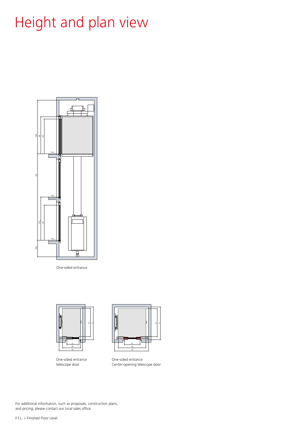# Height and plan view



One-sided entrance



One-sided entrance telescope door



One-sided entrance Center-opening telescope door

For additional information, such as proposals, construction plans, and pricing, please contact our local sales office.